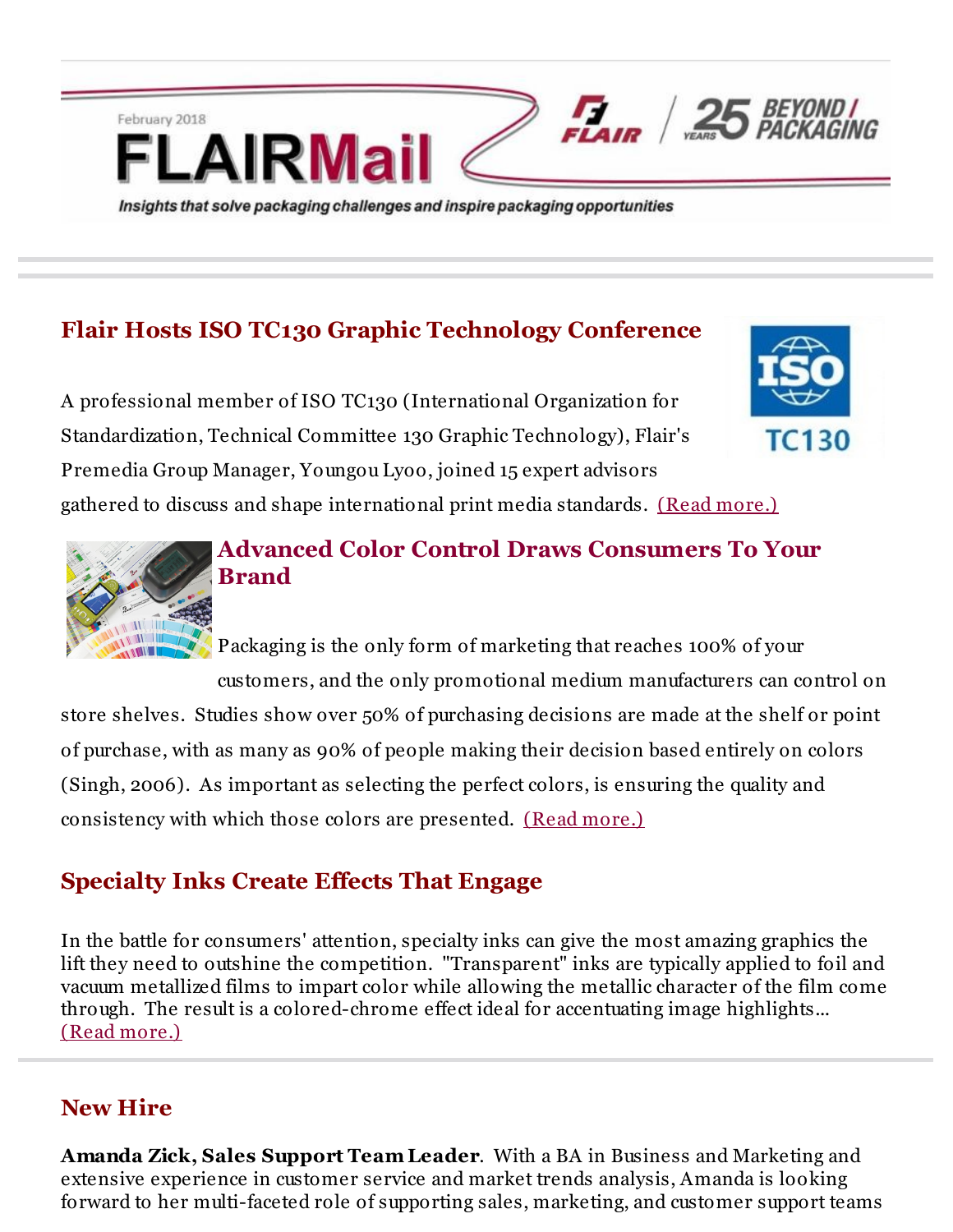# **Flair Hosts ISO TC130 Graphic Technology Conference**

Insights that solve packaging challenges and inspire packaging opportunities

**IRMai** 

A professional member of ISO TC130 (International Organization for Standardization, Technical Committee 130 Graphic Technology), Flair's Premedia Group Manager, Youngou Lyoo, joined 15 expert advisors gathered to discuss and shape international print media standards. (Read [more.\)](http://r20.rs6.net/tn.jsp?f=001hvmSu5R6s-gsYaKZiGheib1on4qigArPyEAIgrVAR0O0Dy4306wpZY-KMxO5xWzqA86sfbGEtXb5zgM8nUr69nYK5L8viS0NlZfJ1twPkA9Gzayx1jggxDqnwFbZJLdRzK8xrPXGcSO-4OIzyRps1BbRXKeXQOVHhv-2AHGoTiQ8PiAayIk5Qgpe-TII4_L1p7GeVtDLXEYXva-v-pnSews_zIlLEyQKNtT0HF6l5QY_d2XqgvcwPq8BiYRpHb_c&c=&ch=)

TC130



February 2018

## **Advanced Color Control Draws Consumers To Your Brand**

Packaging is the only form of marketing that reaches 100% of your customers, and the only promotional medium manufacturers can control on

 $F_{\text{LAIR}}$   $2$ 

store shelves. Studies show over 50% of purchasing decisions are made at the shelf or point of purchase, with as many as 90% of people making their decision based entirely on colors (Singh, 2006). As important as selecting the perfect colors, is ensuring the quality and consistency with which those colors are presented. (Read [more.\)](http://r20.rs6.net/tn.jsp?f=001hvmSu5R6s-gsYaKZiGheib1on4qigArPyEAIgrVAR0O0Dy4306wpZY-KMxO5xWzqA86sfbGEtXb5zgM8nUr69nYK5L8viS0NlZfJ1twPkA9Gzayx1jggxDqnwFbZJLdRzK8xrPXGcSO-4OIzyRps1BbRXKeXQOVHhv-2AHGoTiQ8PiAayIk5Qgpe-TII4_L1p7GeVtDLXEYXva-v-pnSews_zIlLEyQKNtT0HF6l5QY_d2XqgvcwPq8BiYRpHb_c&c=&ch=)

## **Specialty Inks Create Effects That Engage**

In the battle for consumers' attention, specialty inks can give the most amazing graphics the lift they need to outshine the competition. "Transparent" inks are typically applied to foil and vacuum metallized films to impart color while allowing the metallic character of the film come through. The result is a colored-chrome effect ideal for accentuating image highlights... (Read [more.\)](http://r20.rs6.net/tn.jsp?f=001hvmSu5R6s-gsYaKZiGheib1on4qigArPyEAIgrVAR0O0Dy4306wpZY-KMxO5xWzqA86sfbGEtXb5zgM8nUr69nYK5L8viS0NlZfJ1twPkA9Gzayx1jggxDqnwFbZJLdRzK8xrPXGcSO-4OIzyRps1BbRXKeXQOVHhv-2AHGoTiQ8PiAayIk5Qgpe-TII4_L1p7GeVtDLXEYXva-v-pnSews_zIlLEyQKNtT0HF6l5QY_d2XqgvcwPq8BiYRpHb_c&c=&ch=)

#### **New Hire**

**Amanda Zick, Sales Support Team Leader**. With a BA in Business and Marketing and extensive experience in customer service and market trends analysis, Amanda is looking forward to her multi-faceted role of supporting sales, marketing, and customer support teams